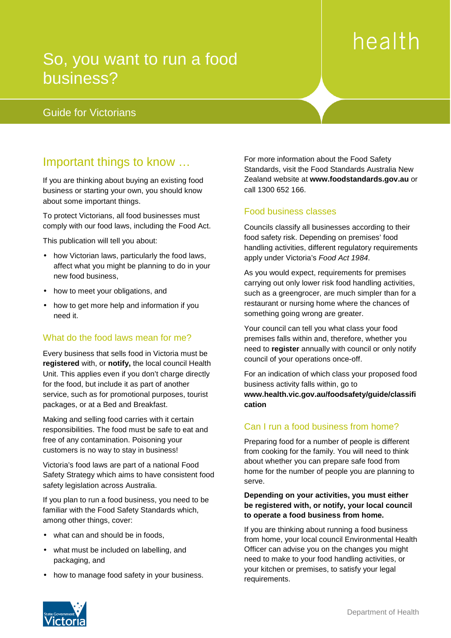# health

# So, you want to run a food business?

# is aligned to bottom of this box Guide for Victorians

# Important things to know …

If you are thinking about buying an existing food business or starting your own, you should know about some important things.

To protect Victorians, all food businesses must comply with our food laws, including the Food Act.

This publication will tell you about:

- how Victorian laws, particularly the food laws, affect what you might be planning to do in your new food business,
- how to meet your obligations, and
- how to get more help and information if you need it.

# What do the food laws mean for me?

Every business that sells food in Victoria must be **registered** with, or **notify,** the local council Health Unit. This applies even if you don't charge directly for the food, but include it as part of another service, such as for promotional purposes, tourist packages, or at a Bed and Breakfast.

Making and selling food carries with it certain responsibilities. The food must be safe to eat and free of any contamination. Poisoning your customers is no way to stay in business!

Victoria's food laws are part of a national Food Safety Strategy which aims to have consistent food safety legislation across Australia.

If you plan to run a food business, you need to be familiar with the Food Safety Standards which, among other things, cover:

- what can and should be in foods,
- what must be included on labelling, and packaging, and
- how to manage food safety in your business.

For more information about the Food Safety Standards, visit the Food Standards Australia New Zealand website at **www.foodstandards.gov.au** or call 1300 652 166.

# Food business classes

Councils classify all businesses according to their food safety risk. Depending on premises' food handling activities, different regulatory requirements apply under Victoria's Food Act 1984.

As you would expect, requirements for premises carrying out only lower risk food handling activities, such as a greengrocer, are much simpler than for a restaurant or nursing home where the chances of something going wrong are greater.

Your council can tell you what class your food premises falls within and, therefore, whether you need to **register** annually with council or only notify council of your operations once-off.

For an indication of which class your proposed food business activity falls within, go to **www.health.vic.gov.au/foodsafety/guide/classifi cation**

# Can I run a food business from home?

Preparing food for a number of people is different from cooking for the family. You will need to think about whether you can prepare safe food from home for the number of people you are planning to serve.

#### **Depending on your activities, you must either be registered with, or notify, your local council to operate a food business from home.**

If you are thinking about running a food business from home, your local council Environmental Health Officer can advise you on the changes you might need to make to your food handling activities, or your kitchen or premises, to satisfy your legal requirements.

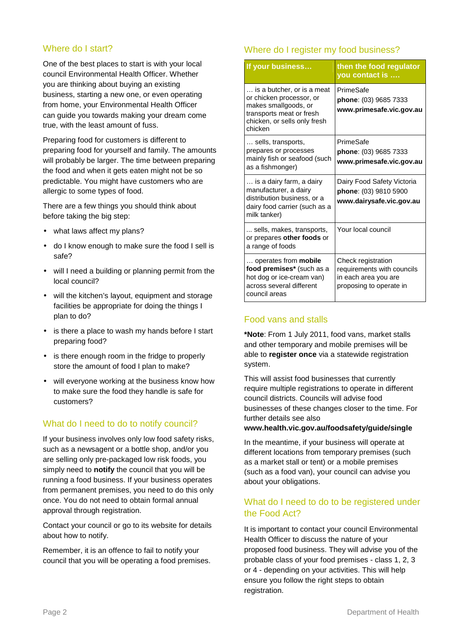# Where do I start?

One of the best places to start is with your local council Environmental Health Officer. Whether you are thinking about buying an existing business, starting a new one, or even operating from home, your Environmental Health Officer can guide you towards making your dream come true, with the least amount of fuss.

Preparing food for customers is different to preparing food for yourself and family. The amounts will probably be larger. The time between preparing the food and when it gets eaten might not be so predictable. You might have customers who are allergic to some types of food.

There are a few things you should think about before taking the big step:

- what laws affect my plans?
- do I know enough to make sure the food I sell is safe?
- will I need a building or planning permit from the local council?
- will the kitchen's layout, equipment and storage facilities be appropriate for doing the things I plan to do?
- is there a place to wash my hands before I start preparing food?
- is there enough room in the fridge to properly store the amount of food I plan to make?
- will everyone working at the business know how to make sure the food they handle is safe for customers?

### What do I need to do to notify council?

If your business involves only low food safety risks, such as a newsagent or a bottle shop, and/or you are selling only pre-packaged low risk foods, you simply need to **notify** the council that you will be running a food business. If your business operates from permanent premises, you need to do this only once. You do not need to obtain formal annual approval through registration.

Contact your council or go to its website for details about how to notify.

Remember, it is an offence to fail to notify your council that you will be operating a food premises.

# Where do I register my food business?

| If your business                                                                                                                                      | then the food regulator<br>you contact is                                                           |
|-------------------------------------------------------------------------------------------------------------------------------------------------------|-----------------------------------------------------------------------------------------------------|
| is a butcher, or is a meat<br>or chicken processor, or<br>makes smallgoods, or<br>transports meat or fresh<br>chicken, or sells only fresh<br>chicken | PrimeSafe<br>phone: (03) 9685 7333<br>www.primesafe.vic.gov.au                                      |
| sells, transports,<br>prepares or processes<br>mainly fish or seafood (such<br>as a fishmonger)                                                       | PrimeSafe<br>phone: (03) 9685 7333<br>www.primesafe.vic.gov.au                                      |
| is a dairy farm, a dairy<br>manufacturer, a dairy<br>distribution business, or a<br>dairy food carrier (such as a<br>milk tanker)                     | Dairy Food Safety Victoria<br>phone: (03) 9810 5900<br>www.dairysafe.vic.gov.au                     |
| sells, makes, transports,<br>or prepares other foods or<br>a range of foods                                                                           | Your local council                                                                                  |
| operates from <b>mobile</b><br>food premises* (such as a<br>hot dog or ice-cream van)<br>across several different<br>council areas                    | Check registration<br>requirements with councils<br>in each area you are<br>proposing to operate in |

### Food vans and stalls

**\*Note**: From 1 July 2011, food vans, market stalls and other temporary and mobile premises will be able to **register once** via a statewide registration system.

This will assist food businesses that currently require multiple registrations to operate in different council districts. Councils will advise food businesses of these changes closer to the time. For further details see also

#### **www.health.vic.gov.au/foodsafety/guide/single**

In the meantime, if your business will operate at different locations from temporary premises (such as a market stall or tent) or a mobile premises (such as a food van), your council can advise you about your obligations.

# What do I need to do to be registered under the Food Act?

It is important to contact your council Environmental Health Officer to discuss the nature of your proposed food business. They will advise you of the probable class of your food premises - class 1, 2, 3 or 4 - depending on your activities. This will help ensure you follow the right steps to obtain registration.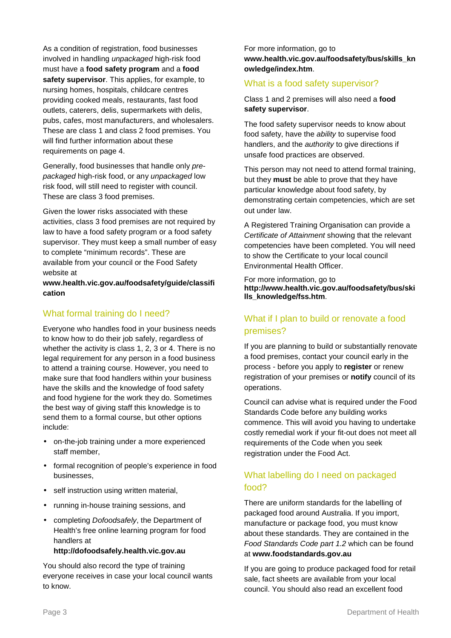As a condition of registration, food businesses involved in handling unpackaged high-risk food must have a **food safety program** and a **food safety supervisor**. This applies, for example, to nursing homes, hospitals, childcare centres providing cooked meals, restaurants, fast food outlets, caterers, delis, supermarkets with delis, pubs, cafes, most manufacturers, and wholesalers. These are class 1 and class 2 food premises. You will find further information about these requirements on page 4.

Generally, food businesses that handle only prepackaged high-risk food, or any unpackaged low risk food, will still need to register with council. These are class 3 food premises.

Given the lower risks associated with these activities, class 3 food premises are not required by law to have a food safety program or a food safety supervisor. They must keep a small number of easy to complete "minimum records". These are available from your council or the Food Safety website at

**www.health.vic.gov.au/foodsafety/guide/classifi cation** 

### What formal training do I need?

Everyone who handles food in your business needs to know how to do their job safely, regardless of whether the activity is class 1, 2, 3 or 4. There is no legal requirement for any person in a food business to attend a training course. However, you need to make sure that food handlers within your business have the skills and the knowledge of food safety and food hygiene for the work they do. Sometimes the best way of giving staff this knowledge is to send them to a formal course, but other options include:

- on-the-job training under a more experienced staff member,
- formal recognition of people's experience in food businesses,
- self instruction using written material,
- running in-house training sessions, and
- completing *Dofoodsafely*, the Department of Health's free online learning program for food handlers at

#### **http://dofoodsafely.health.vic.gov.au**

You should also record the type of training everyone receives in case your local council wants to know.

For more information, go to **www.health.vic.gov.au/foodsafety/bus/skills\_kn owledge/index.htm**.

#### What is a food safety supervisor?

Class 1 and 2 premises will also need a **food safety supervisor**.

The food safety supervisor needs to know about food safety, have the ability to supervise food handlers, and the *authority* to give directions if unsafe food practices are observed.

This person may not need to attend formal training, but they **must** be able to prove that they have particular knowledge about food safety, by demonstrating certain competencies, which are set out under law.

A Registered Training Organisation can provide a Certificate of Attainment showing that the relevant competencies have been completed. You will need to show the Certificate to your local council Environmental Health Officer.

For more information, go to **http://www.health.vic.gov.au/foodsafety/bus/ski lls\_knowledge/fss.htm**.

# What if I plan to build or renovate a food premises?

If you are planning to build or substantially renovate a food premises, contact your council early in the process - before you apply to **register** or renew registration of your premises or **notify** council of its operations.

Council can advise what is required under the Food Standards Code before any building works commence. This will avoid you having to undertake costly remedial work if your fit-out does not meet all requirements of the Code when you seek registration under the Food Act.

# What labelling do I need on packaged food?

There are uniform standards for the labelling of packaged food around Australia. If you import, manufacture or package food, you must know about these standards. They are contained in the Food Standards Code part 1.2 which can be found at **www.foodstandards.gov.au** 

If you are going to produce packaged food for retail sale, fact sheets are available from your local council. You should also read an excellent food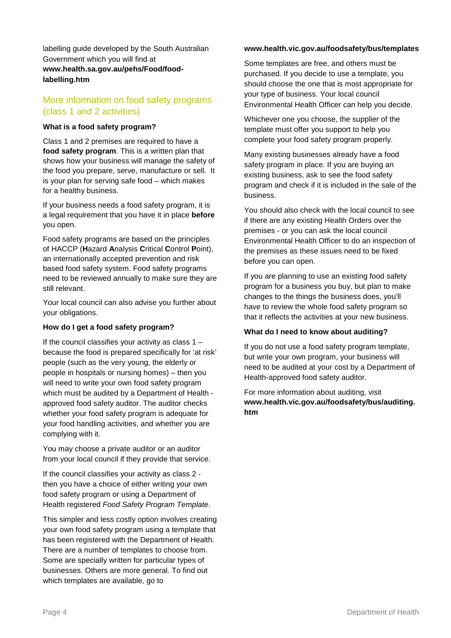labelling guide developed by the South Australian Government which you will find at **www.health.sa.gov.au/pehs/Food/foodlabelling.htm** 

# More information on food safety programs (class 1 and 2 activities)

#### **What is a food safety program?**

Class 1 and 2 premises are required to have a **food safety program**. This is a written plan that shows how your business will manage the safety of the food you prepare, serve, manufacture or sell. It is your plan for serving safe food – which makes for a healthy business.

If your business needs a food safety program, it is a legal requirement that you have it in place **before** you open.

Food safety programs are based on the principles of HACCP (**H**azard **A**nalysis **C**ritical **C**ontrol **P**oint), an internationally accepted prevention and risk based food safety system. Food safety programs need to be reviewed annually to make sure they are still relevant.

Your local council can also advise you further about your obligations.

#### **How do I get a food safety program?**

If the council classifies your activity as class  $1$ because the food is prepared specifically for 'at risk' people (such as the very young, the elderly or people in hospitals or nursing homes) – then you will need to write your own food safety program which must be audited by a Department of Health approved food safety auditor. The auditor checks whether your food safety program is adequate for your food handling activities, and whether you are complying with it.

You may choose a private auditor or an auditor from your local council if they provide that service.

If the council classifies your activity as class 2 then you have a choice of either writing your own food safety program or using a Department of Health registered Food Safety Program Template.

This simpler and less costly option involves creating your own food safety program using a template that has been registered with the Department of Health. There are a number of templates to choose from. Some are specially written for particular types of businesses. Others are more general. To find out which templates are available, go to

#### **www.health.vic.gov.au/foodsafety/bus/templates**

Some templates are free, and others must be purchased. If you decide to use a template, you should choose the one that is most appropriate for your type of business. Your local council Environmental Health Officer can help you decide.

Whichever one you choose, the supplier of the template must offer you support to help you complete your food safety program properly.

Many existing businesses already have a food safety program in place. If you are buying an existing business, ask to see the food safety program and check if it is included in the sale of the business.

You should also check with the local council to see if there are any existing Health Orders over the premises - or you can ask the local council Environmental Health Officer to do an inspection of the premises as these issues need to be fixed before you can open.

If you are planning to use an existing food safety program for a business you buy, but plan to make changes to the things the business does, you'll have to review the whole food safety program so that it reflects the activities at your new business.

#### **What do I need to know about auditing?**

If you do not use a food safety program template, but write your own program, your business will need to be audited at your cost by a Department of Health-approved food safety auditor.

For more information about auditing, visit **www.health.vic.gov.au/foodsafety/bus/auditing. htm**